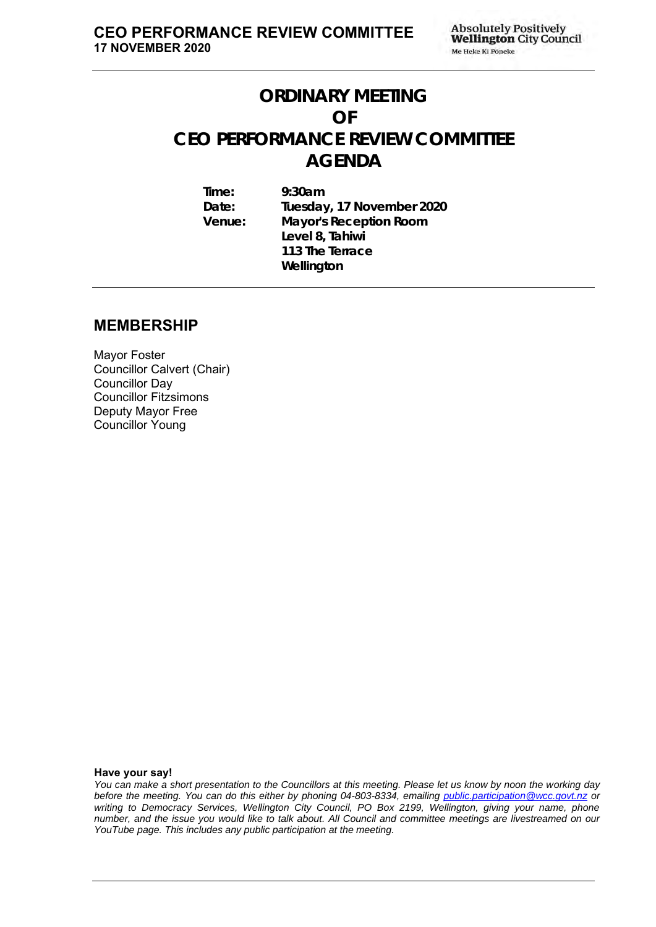# **ORDINARY MEETING OF CEO PERFORMANCE REVIEW COMMITTEE AGENDA**

**Time: 9:30am Date: Tuesday, 17 November 2020 Venue: Mayor's Reception Room Level 8, Tahiwi 113 The Terrace Wellington**

#### **MEMBERSHIP**

Mayor Foster Councillor Calvert (Chair) Councillor Day Councillor Fitzsimons Deputy Mayor Free Councillor Young

**Have your say!**

*You can make a short presentation to the Councillors at this meeting. Please let us know by noon the working day before the meeting. You can do this either by phoning 04-803-8334, emailing public.participation@wcc.govt.nz or writing to Democracy Services, Wellington City Council, PO Box 2199, Wellington, giving your name, phone number, and the issue you would like to talk about. All Council and committee meetings are livestreamed on our YouTube page. This includes any public participation at the meeting.*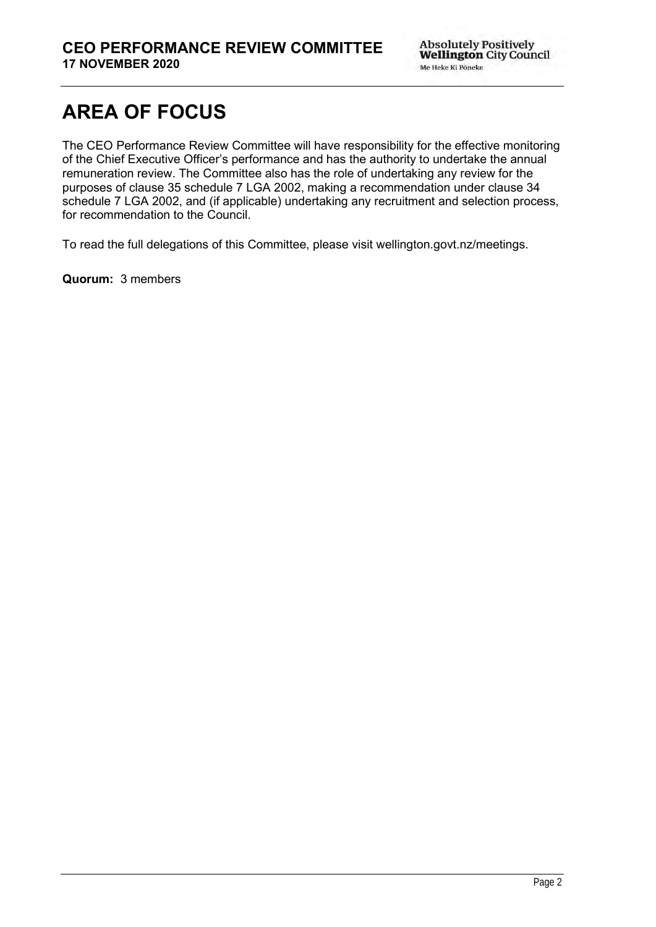# **AREA OF FOCUS**

The CEO Performance Review Committee will have responsibility for the effective monitoring of the Chief Executive Officer's performance and has the authority to undertake the annual remuneration review. The Committee also has the role of undertaking any review for the purposes of clause 35 schedule 7 LGA 2002, making a recommendation under clause 34 schedule 7 LGA 2002, and (if applicable) undertaking any recruitment and selection process, for recommendation to the Council.

To read the full delegations of this Committee, please visit wellington.govt.nz/meetings.

**Quorum:** 3 members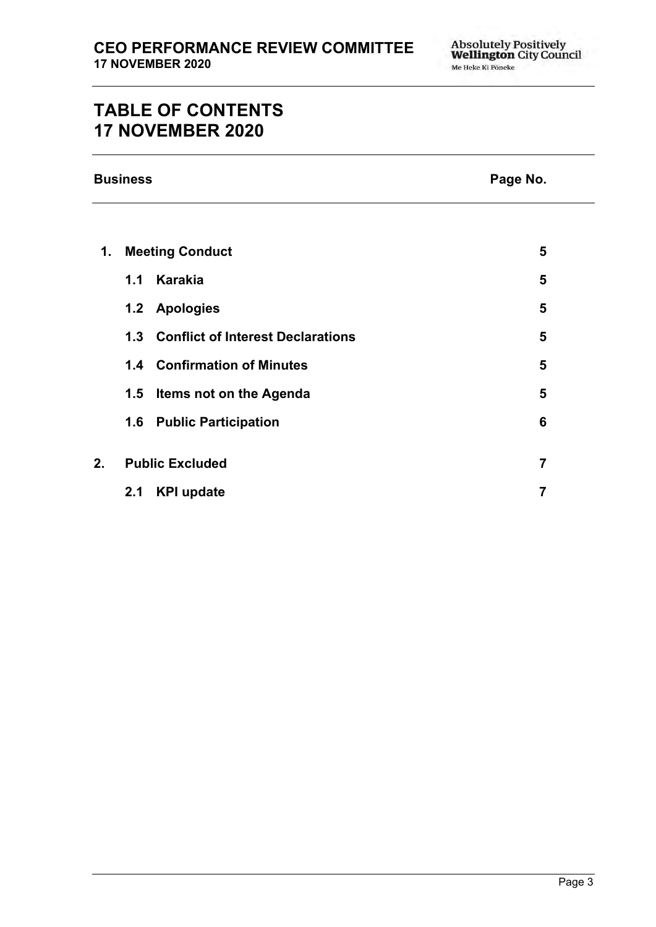# **TABLE OF CONTENTS 17 NOVEMBER 2020**

| <b>Business</b> |  |
|-----------------|--|
|-----------------|--|

### **Page No.**

| 1. | <b>Meeting Conduct</b> |                                       |   |
|----|------------------------|---------------------------------------|---|
|    | 1.1                    | <b>Karakia</b>                        | 5 |
|    |                        | 1.2 Apologies                         | 5 |
|    |                        | 1.3 Conflict of Interest Declarations | 5 |
|    |                        | 1.4 Confirmation of Minutes           | 5 |
|    | 1.5                    | Items not on the Agenda               | 5 |
|    | 1.6                    | <b>Public Participation</b>           | 6 |
|    |                        |                                       | 7 |
| 2. | <b>Public Excluded</b> |                                       |   |
|    | 2.1                    | <b>KPI update</b>                     |   |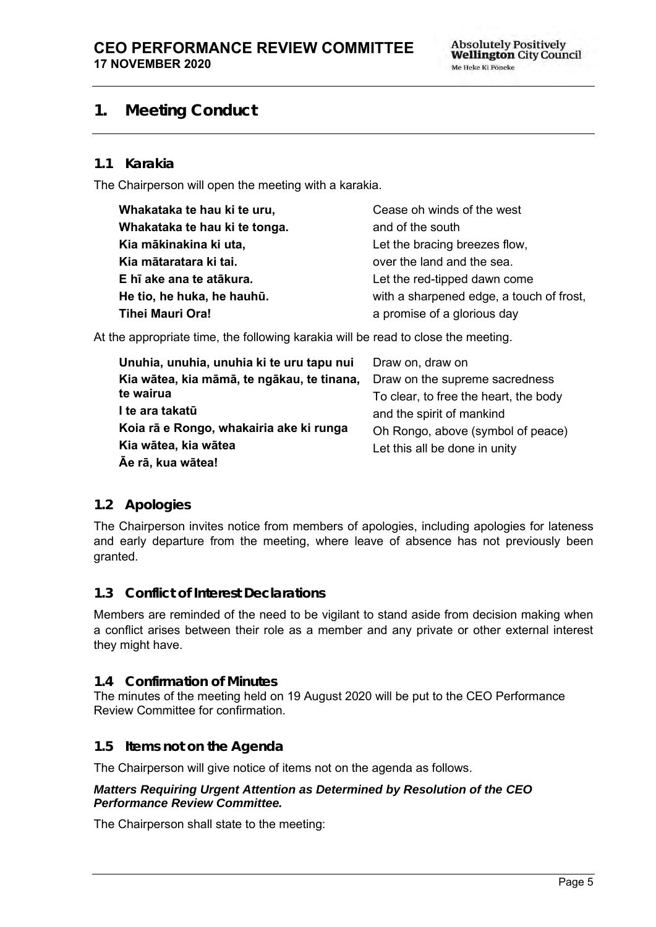## <span id="page-4-0"></span>**1. Meeting Conduct**

#### **1.1 Karakia**

The Chairperson will open the meeting with a karakia.

| Whakataka te hau ki te uru,   | Cease oh winds of the west               |
|-------------------------------|------------------------------------------|
| Whakataka te hau ki te tonga. | and of the south                         |
| Kia mākinakina ki uta,        | Let the bracing breezes flow,            |
| Kia mātaratara ki tai.        | over the land and the sea.               |
| E hī ake ana te atākura.      | Let the red-tipped dawn come             |
| He tio, he huka, he hauhū.    | with a sharpened edge, a touch of frost, |
| <b>Tihei Mauri Ora!</b>       | a promise of a glorious day              |

At the appropriate time, the following karakia will be read to close the meeting.

| Unuhia, unuhia, unuhia ki te uru tapu nui  | Draw on, draw on                      |
|--------------------------------------------|---------------------------------------|
| Kia wātea, kia māmā, te ngākau, te tinana, | Draw on the supreme sacredness        |
| te wairua                                  | To clear, to free the heart, the body |
| I te ara takatū                            | and the spirit of mankind             |
| Koia rā e Rongo, whakairia ake ki runga    | Oh Rongo, above (symbol of peace)     |
| Kia wātea, kia wātea                       | Let this all be done in unity         |
| Āe rā, kua wātea!                          |                                       |

#### <span id="page-4-1"></span>**1.2 Apologies**

The Chairperson invites notice from members of apologies, including apologies for lateness and early departure from the meeting, where leave of absence has not previously been granted.

#### <span id="page-4-2"></span>**1.3 Conflict of Interest Declarations**

Members are reminded of the need to be vigilant to stand aside from decision making when a conflict arises between their role as a member and any private or other external interest they might have.

#### <span id="page-4-3"></span>**1.4 Confirmation of Minutes**

The minutes of the meeting held on 19 August 2020 will be put to the CEO Performance Review Committee for confirmation.

#### <span id="page-4-4"></span>**1.5 Items not on the Agenda**

The Chairperson will give notice of items not on the agenda as follows.

#### *Matters Requiring Urgent Attention as Determined by Resolution of the CEO Performance Review Committee.*

The Chairperson shall state to the meeting: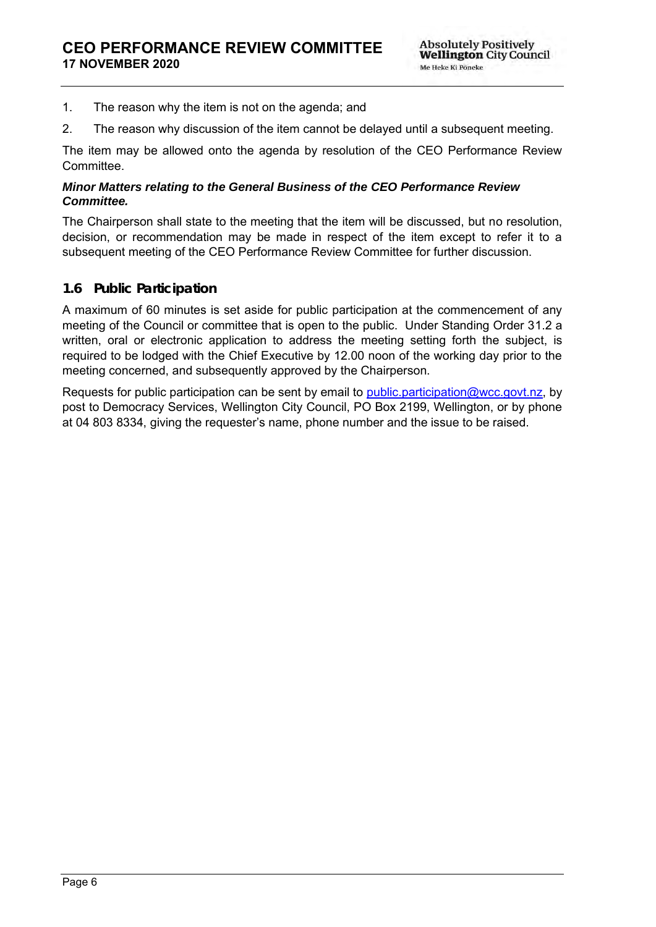- 1. The reason why the item is not on the agenda; and
- 2. The reason why discussion of the item cannot be delayed until a subsequent meeting.

The item may be allowed onto the agenda by resolution of the CEO Performance Review Committee.

#### *Minor Matters relating to the General Business of the CEO Performance Review Committee.*

The Chairperson shall state to the meeting that the item will be discussed, but no resolution, decision, or recommendation may be made in respect of the item except to refer it to a subsequent meeting of the CEO Performance Review Committee for further discussion.

#### <span id="page-5-0"></span>**1.6 Public Participation**

A maximum of 60 minutes is set aside for public participation at the commencement of any meeting of the Council or committee that is open to the public. Under Standing Order 31.2 a written, oral or electronic application to address the meeting setting forth the subject, is required to be lodged with the Chief Executive by 12.00 noon of the working day prior to the meeting concerned, and subsequently approved by the Chairperson.

Requests for public participation can be sent by email to [public.participation@wcc.govt.nz,](mailto:public.participation@wcc.govt.nz) by post to Democracy Services, Wellington City Council, PO Box 2199, Wellington, or by phone at 04 803 8334, giving the requester's name, phone number and the issue to be raised.